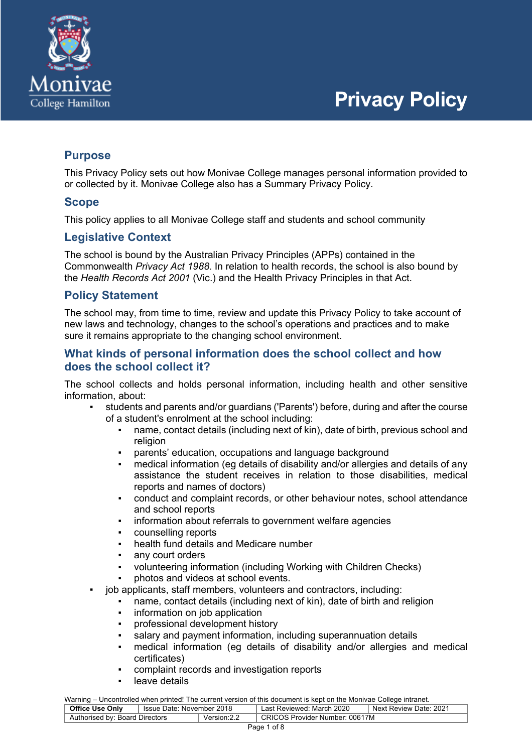

## **Purpose**

This Privacy Policy sets out how Monivae College manages personal information provided to or collected by it. Monivae College also has a Summary Privacy Policy.

### **Scope**

This policy applies to all Monivae College staff and students and school community

## **Legislative Context**

The school is bound by the Australian Privacy Principles (APPs) contained in the Commonwealth *Privacy Act 1988*. In relation to health records, the school is also bound by the *Health Records Act 2001* (Vic.) and the Health Privacy Principles in that Act.

## **Policy Statement**

The school may, from time to time, review and update this Privacy Policy to take account of new laws and technology, changes to the school's operations and practices and to make sure it remains appropriate to the changing school environment.

## **What kinds of personal information does the school collect and how does the school collect it?**

The school collects and holds personal information, including health and other sensitive information, about:

- students and parents and/or guardians ('Parents') before, during and after the course of a student's enrolment at the school including:
	- name, contact details (including next of kin), date of birth, previous school and religion
	- parents' education, occupations and language background
	- medical information (eg details of disability and/or allergies and details of any assistance the student receives in relation to those disabilities, medical reports and names of doctors)
	- conduct and complaint records, or other behaviour notes, school attendance and school reports
	- information about referrals to government welfare agencies
	- counselling reports
	- health fund details and Medicare number
	- any court orders
	- volunteering information (including Working with Children Checks)
	- photos and videos at school events.
- iob applicants, staff members, volunteers and contractors, including:
	- name, contact details (including next of kin), date of birth and religion
	- information on job application
	- professional development history
	- salary and payment information, including superannuation details
	- medical information (eq details of disability and/or allergies and medical certificates)
	- complaint records and investigation reports
	- leave details

| <u>training</u> choosing show mish princet the sentent referent of the assemblitie hopt on the moment sending intranctio |                           |              |                                |                        |  |  |
|--------------------------------------------------------------------------------------------------------------------------|---------------------------|--------------|--------------------------------|------------------------|--|--|
| <b>Office Use Only</b>                                                                                                   | Issue Date: November 2018 |              | Last Reviewed: March 2020      | Next Review Date: 2021 |  |  |
| Authorised by: Board Directors                                                                                           |                           | Version: 2.2 | CRICOS Provider Number: 00617M |                        |  |  |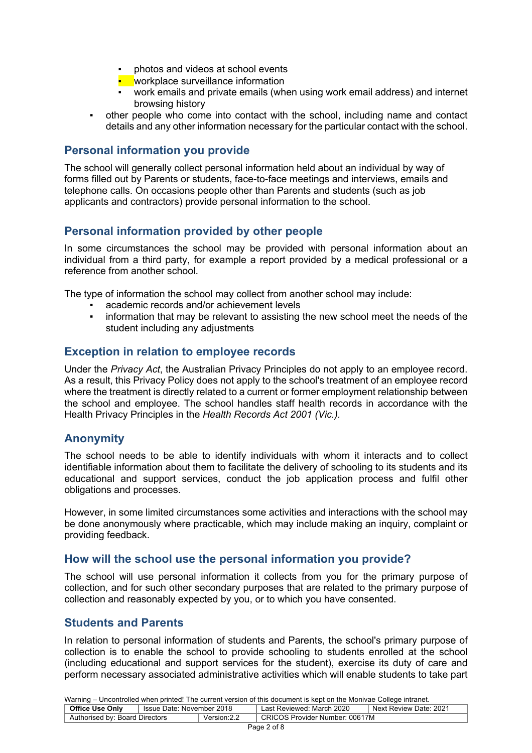- photos and videos at school events
- **E** workplace surveillance information
- work emails and private emails (when using work email address) and internet browsing history
- other people who come into contact with the school, including name and contact details and any other information necessary for the particular contact with the school.

## **Personal information you provide**

The school will generally collect personal information held about an individual by way of forms filled out by Parents or students, face-to-face meetings and interviews, emails and telephone calls. On occasions people other than Parents and students (such as job applicants and contractors) provide personal information to the school.

## **Personal information provided by other people**

In some circumstances the school may be provided with personal information about an individual from a third party, for example a report provided by a medical professional or a reference from another school.

The type of information the school may collect from another school may include:

- academic records and/or achievement levels
- information that may be relevant to assisting the new school meet the needs of the student including any adjustments

## **Exception in relation to employee records**

Under the *Privacy Act*, the Australian Privacy Principles do not apply to an employee record. As a result, this Privacy Policy does not apply to the school's treatment of an employee record where the treatment is directly related to a current or former employment relationship between the school and employee. The school handles staff health records in accordance with the Health Privacy Principles in the *Health Records Act 2001 (Vic.).*

## **Anonymity**

The school needs to be able to identify individuals with whom it interacts and to collect identifiable information about them to facilitate the delivery of schooling to its students and its educational and support services, conduct the job application process and fulfil other obligations and processes.

However, in some limited circumstances some activities and interactions with the school may be done anonymously where practicable, which may include making an inquiry, complaint or providing feedback.

### **How will the school use the personal information you provide?**

The school will use personal information it collects from you for the primary purpose of collection, and for such other secondary purposes that are related to the primary purpose of collection and reasonably expected by you, or to which you have consented.

### **Students and Parents**

In relation to personal information of students and Parents, the school's primary purpose of collection is to enable the school to provide schooling to students enrolled at the school (including educational and support services for the student), exercise its duty of care and perform necessary associated administrative activities which will enable students to take part

| <b>Office Use Only</b><br>Issue Date: November 2018 |  | Last Reviewed: March 2020 | Next Review Date: 2021         |  |  |  |
|-----------------------------------------------------|--|---------------------------|--------------------------------|--|--|--|
| Authorised by: Board Directors                      |  | Version: 2.2              | CRICOS Provider Number: 00617M |  |  |  |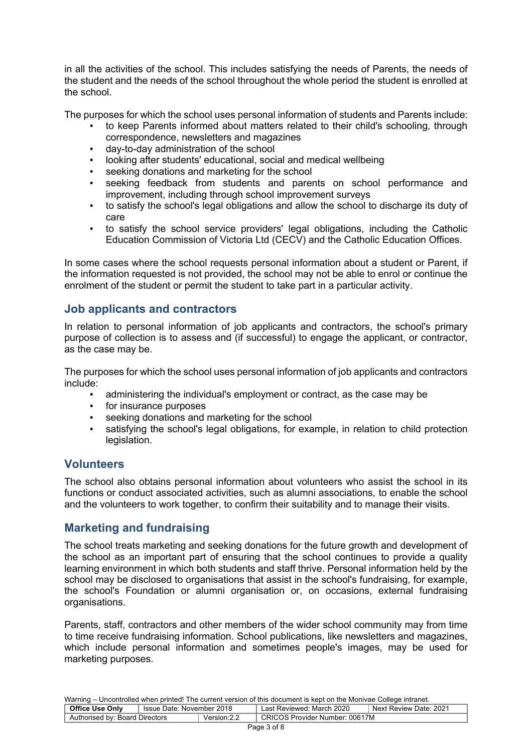in all the activities of the school. This includes satisfying the needs of Parents, the needs of the student and the needs of the school throughout the whole period the student is enrolled at the school.

The purposes for which the school uses personal information of students and Parents include:

- to keep Parents informed about matters related to their child's schooling, through correspondence, newsletters and magazines
- day-to-day administration of the school
- looking after students' educational, social and medical wellbeing
- seeking donations and marketing for the school
- seeking feedback from students and parents on school performance and improvement, including through school improvement surveys
- to satisfy the school's legal obligations and allow the school to discharge its duty of care
- to satisfy the school service providers' legal obligations, including the Catholic Education Commission of Victoria Ltd (CECV) and the Catholic Education Offices.

In some cases where the school requests personal information about a student or Parent, if the information requested is not provided, the school may not be able to enrol or continue the enrolment of the student or permit the student to take part in a particular activity.

## **Job applicants and contractors**

In relation to personal information of job applicants and contractors, the school's primary purpose of collection is to assess and (if successful) to engage the applicant, or contractor, as the case may be.

The purposes for which the school uses personal information of job applicants and contractors include:

- administering the individual's employment or contract, as the case may be
- for insurance purposes
- seeking donations and marketing for the school
- satisfying the school's legal obligations, for example, in relation to child protection legislation.

### **Volunteers**

The school also obtains personal information about volunteers who assist the school in its functions or conduct associated activities, such as alumni associations, to enable the school and the volunteers to work together, to confirm their suitability and to manage their visits.

### **Marketing and fundraising**

The school treats marketing and seeking donations for the future growth and development of the school as an important part of ensuring that the school continues to provide a quality learning environment in which both students and staff thrive. Personal information held by the school may be disclosed to organisations that assist in the school's fundraising, for example, the school's Foundation or alumni organisation or, on occasions, external fundraising organisations.

Parents, staff, contractors and other members of the wider school community may from time to time receive fundraising information. School publications, like newsletters and magazines, which include personal information and sometimes people's images, may be used for marketing purposes.

| <b>Office Use Only</b>         | Issue Date: November 2018 |             | Last Reviewed: March 2020      | Next Review Date: 2021 |
|--------------------------------|---------------------------|-------------|--------------------------------|------------------------|
| Authorised by: Board Directors |                           | Version:2.2 | CRICOS Provider Number: 00617M |                        |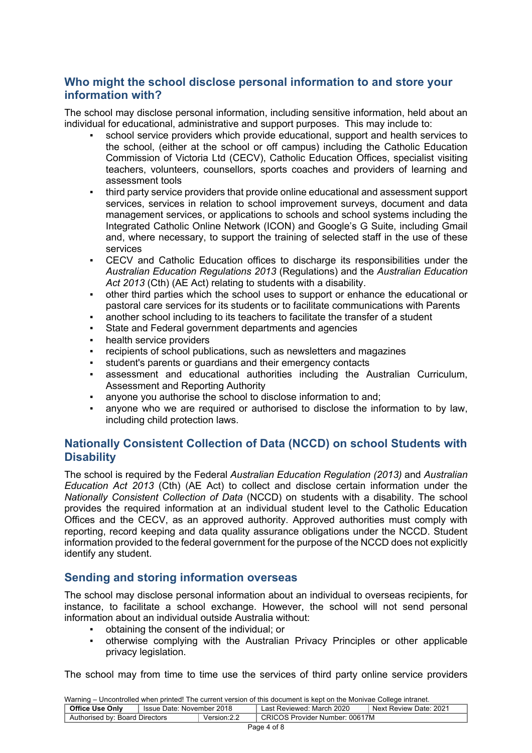## **Who might the school disclose personal information to and store your information with?**

The school may disclose personal information, including sensitive information, held about an individual for educational, administrative and support purposes. This may include to:

- school service providers which provide educational, support and health services to the school, (either at the school or off campus) including the Catholic Education Commission of Victoria Ltd (CECV), Catholic Education Offices, specialist visiting teachers, volunteers, counsellors, sports coaches and providers of learning and assessment tools
- third party service providers that provide online educational and assessment support services, services in relation to school improvement surveys, document and data management services, or applications to schools and school systems including the Integrated Catholic Online Network (ICON) and Google's G Suite, including Gmail and, where necessary, to support the training of selected staff in the use of these services
- CECV and Catholic Education offices to discharge its responsibilities under the *Australian Education Regulations 2013* (Regulations) and the *Australian Education Act 2013* (Cth) (AE Act) relating to students with a disability.
- other third parties which the school uses to support or enhance the educational or pastoral care services for its students or to facilitate communications with Parents
- another school including to its teachers to facilitate the transfer of a student
- State and Federal government departments and agencies
- health service providers
- recipients of school publications, such as newsletters and magazines
- student's parents or guardians and their emergency contacts
- assessment and educational authorities including the Australian Curriculum, Assessment and Reporting Authority
- anyone you authorise the school to disclose information to and:
- anyone who we are required or authorised to disclose the information to by law. including child protection laws.

## **Nationally Consistent Collection of Data (NCCD) on school Students with Disability**

The school is required by the Federal *Australian Education Regulation (2013)* and *Australian Education Act 2013* (Cth) (AE Act) to collect and disclose certain information under the *Nationally Consistent Collection of Data* (NCCD) on students with a disability. The school provides the required information at an individual student level to the Catholic Education Offices and the CECV, as an approved authority. Approved authorities must comply with reporting, record keeping and data quality assurance obligations under the NCCD. Student information provided to the federal government for the purpose of the NCCD does not explicitly identify any student.

## **Sending and storing information overseas**

The school may disclose personal information about an individual to overseas recipients, for instance, to facilitate a school exchange. However, the school will not send personal information about an individual outside Australia without:

- obtaining the consent of the individual; or
- otherwise complying with the Australian Privacy Principles or other applicable privacy legislation.

The school may from time to time use the services of third party online service providers

| <b>Training Chroning and mich printed.</b> The carrent reference of the accumum to Rept on the moment concept intranct. |  |                           |                                |  |  |  |
|-------------------------------------------------------------------------------------------------------------------------|--|---------------------------|--------------------------------|--|--|--|
| <b>Office Use Only</b><br>Issue Date: November 2018                                                                     |  | Last Reviewed: March 2020 | Next Review Date: 2021         |  |  |  |
| Authorised by: Board Directors                                                                                          |  | Version: 2.2              | CRICOS Provider Number: 00617M |  |  |  |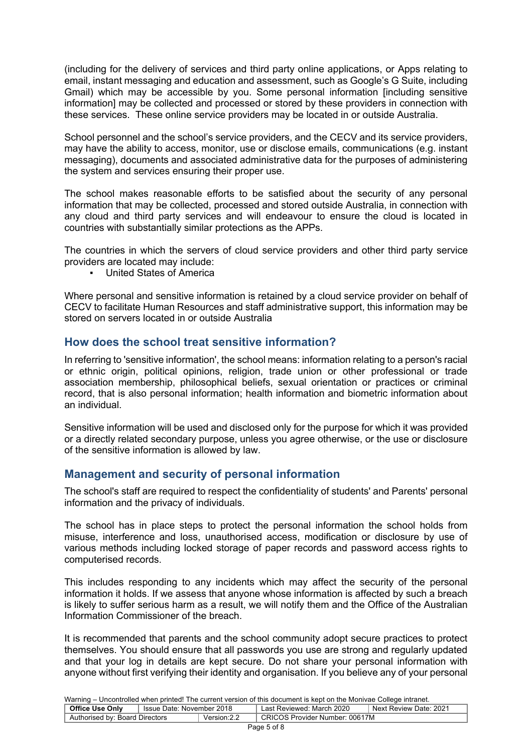(including for the delivery of services and third party online applications, or Apps relating to email, instant messaging and education and assessment, such as Google's G Suite, including Gmail) which may be accessible by you. Some personal information [including sensitive information] may be collected and processed or stored by these providers in connection with these services. These online service providers may be located in or outside Australia.

School personnel and the school's service providers, and the CECV and its service providers, may have the ability to access, monitor, use or disclose emails, communications (e.g. instant messaging), documents and associated administrative data for the purposes of administering the system and services ensuring their proper use.

The school makes reasonable efforts to be satisfied about the security of any personal information that may be collected, processed and stored outside Australia, in connection with any cloud and third party services and will endeavour to ensure the cloud is located in countries with substantially similar protections as the APPs.

The countries in which the servers of cloud service providers and other third party service providers are located may include:

**United States of America** 

Where personal and sensitive information is retained by a cloud service provider on behalf of CECV to facilitate Human Resources and staff administrative support, this information may be stored on servers located in or outside Australia

### **How does the school treat sensitive information?**

In referring to 'sensitive information', the school means: information relating to a person's racial or ethnic origin, political opinions, religion, trade union or other professional or trade association membership, philosophical beliefs, sexual orientation or practices or criminal record, that is also personal information; health information and biometric information about an individual.

Sensitive information will be used and disclosed only for the purpose for which it was provided or a directly related secondary purpose, unless you agree otherwise, or the use or disclosure of the sensitive information is allowed by law.

## **Management and security of personal information**

The school's staff are required to respect the confidentiality of students' and Parents' personal information and the privacy of individuals.

The school has in place steps to protect the personal information the school holds from misuse, interference and loss, unauthorised access, modification or disclosure by use of various methods including locked storage of paper records and password access rights to computerised records.

This includes responding to any incidents which may affect the security of the personal information it holds. If we assess that anyone whose information is affected by such a breach is likely to suffer serious harm as a result, we will notify them and the Office of the Australian Information Commissioner of the breach.

It is recommended that parents and the school community adopt secure practices to protect themselves. You should ensure that all passwords you use are strong and regularly updated and that your log in details are kept secure. Do not share your personal information with anyone without first verifying their identity and organisation. If you believe any of your personal

| <u>training</u> choosing show mish princet the sentent referent of the assemblitie hopt on the moment sending intranctio |                           |              |                                |                        |  |
|--------------------------------------------------------------------------------------------------------------------------|---------------------------|--------------|--------------------------------|------------------------|--|
| <b>Office Use Only</b>                                                                                                   | Issue Date: November 2018 |              | Last Reviewed: March 2020      | Next Review Date: 2021 |  |
| Authorised by: Board Directors                                                                                           |                           | Version: 2.2 | CRICOS Provider Number: 00617M |                        |  |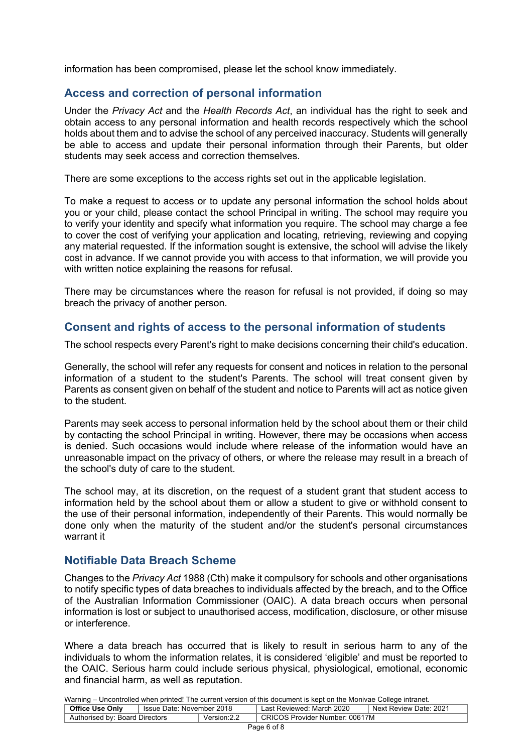information has been compromised, please let the school know immediately.

### **Access and correction of personal information**

Under the *Privacy Act* and the *Health Records Act*, an individual has the right to seek and obtain access to any personal information and health records respectively which the school holds about them and to advise the school of any perceived inaccuracy. Students will generally be able to access and update their personal information through their Parents, but older students may seek access and correction themselves.

There are some exceptions to the access rights set out in the applicable legislation.

To make a request to access or to update any personal information the school holds about you or your child, please contact the school Principal in writing. The school may require you to verify your identity and specify what information you require. The school may charge a fee to cover the cost of verifying your application and locating, retrieving, reviewing and copying any material requested. If the information sought is extensive, the school will advise the likely cost in advance. If we cannot provide you with access to that information, we will provide you with written notice explaining the reasons for refusal.

There may be circumstances where the reason for refusal is not provided, if doing so may breach the privacy of another person.

## **Consent and rights of access to the personal information of students**

The school respects every Parent's right to make decisions concerning their child's education.

Generally, the school will refer any requests for consent and notices in relation to the personal information of a student to the student's Parents. The school will treat consent given by Parents as consent given on behalf of the student and notice to Parents will act as notice given to the student.

Parents may seek access to personal information held by the school about them or their child by contacting the school Principal in writing. However, there may be occasions when access is denied. Such occasions would include where release of the information would have an unreasonable impact on the privacy of others, or where the release may result in a breach of the school's duty of care to the student.

The school may, at its discretion, on the request of a student grant that student access to information held by the school about them or allow a student to give or withhold consent to the use of their personal information, independently of their Parents. This would normally be done only when the maturity of the student and/or the student's personal circumstances warrant it

### **Notifiable Data Breach Scheme**

Changes to the *Privacy Act* 1988 (Cth) make it compulsory for schools and other organisations to notify specific types of data breaches to individuals affected by the breach, and to the Office of the Australian Information Commissioner (OAIC). A data breach occurs when personal information is lost or subject to unauthorised access, modification, disclosure, or other misuse or interference.

Where a data breach has occurred that is likely to result in serious harm to any of the individuals to whom the information relates, it is considered 'eligible' and must be reported to the OAIC. Serious harm could include serious physical, physiological, emotional, economic and financial harm, as well as reputation.

| <b>Training Chronicle Millon Printout The San Shi Toloish of this assamblit is Rept on the moments Consept intranct.</b> |  |                           |                                |  |  |  |
|--------------------------------------------------------------------------------------------------------------------------|--|---------------------------|--------------------------------|--|--|--|
| <b>Office Use Only</b><br>l Issue Date: November 2018                                                                    |  | Last Reviewed: March 2020 | Next Review Date: 2021         |  |  |  |
| Authorised by: Board Directors                                                                                           |  | Version: 2.2              | CRICOS Provider Number: 00617M |  |  |  |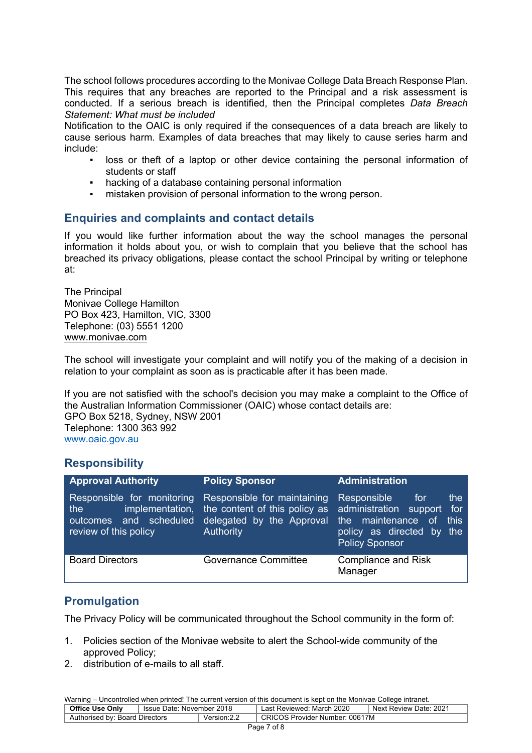The school follows procedures according to the Monivae College Data Breach Response Plan. This requires that any breaches are reported to the Principal and a risk assessment is conducted. If a serious breach is identified, then the Principal completes *Data Breach Statement: What must be included*

Notification to the OAIC is only required if the consequences of a data breach are likely to cause serious harm. Examples of data breaches that may likely to cause series harm and include:

- loss or theft of a laptop or other device containing the personal information of students or staff
- hacking of a database containing personal information
- mistaken provision of personal information to the wrong person.

## **Enquiries and complaints and contact details**

If you would like further information about the way the school manages the personal information it holds about you, or wish to complain that you believe that the school has breached its privacy obligations, please contact the school Principal by writing or telephone at:

The Principal Monivae College Hamilton PO Box 423, Hamilton, VIC, 3300 Telephone: (03) 5551 1200 www.monivae.com

The school will investigate your complaint and will notify you of the making of a decision in relation to your complaint as soon as is practicable after it has been made.

If you are not satisfied with the school's decision you may make a complaint to the Office of the Australian Information Commissioner (OAIC) whose contact details are: GPO Box 5218, Sydney, NSW 2001 Telephone: 1300 363 992 www.oaic.gov.au

### **Responsibility**

| <b>Approval Authority</b>                                                               | <b>Policy Sponsor</b>                                                                                                                             | <b>Administration</b>                                                                                            |
|-----------------------------------------------------------------------------------------|---------------------------------------------------------------------------------------------------------------------------------------------------|------------------------------------------------------------------------------------------------------------------|
| Responsible for monitoring<br>the<br>and scheduled<br>outcomes<br>review of this policy | Responsible for maintaining<br>implementation, the content of this policy as administration support for<br>delegated by the Approval<br>Authority | Responsible<br>the<br>for<br>the maintenance of<br>this<br>policy as directed by<br>the<br><b>Policy Sponsor</b> |
| <b>Board Directors</b>                                                                  | <b>Governance Committee</b>                                                                                                                       | <b>Compliance and Risk</b><br>Manager                                                                            |

## **Promulgation**

The Privacy Policy will be communicated throughout the School community in the form of:

- 1. Policies section of the Monivae website to alert the School-wide community of the approved Policy;
- 2. distribution of e-mails to all staff.

| <b>Office Use Only</b>         | Issue Date: November 2018 |              | Last Reviewed: March 2020      | Next Review Date: 2021 |
|--------------------------------|---------------------------|--------------|--------------------------------|------------------------|
| Authorised by: Board Directors |                           | Version: 2.2 | CRICOS Provider Number: 00617M |                        |